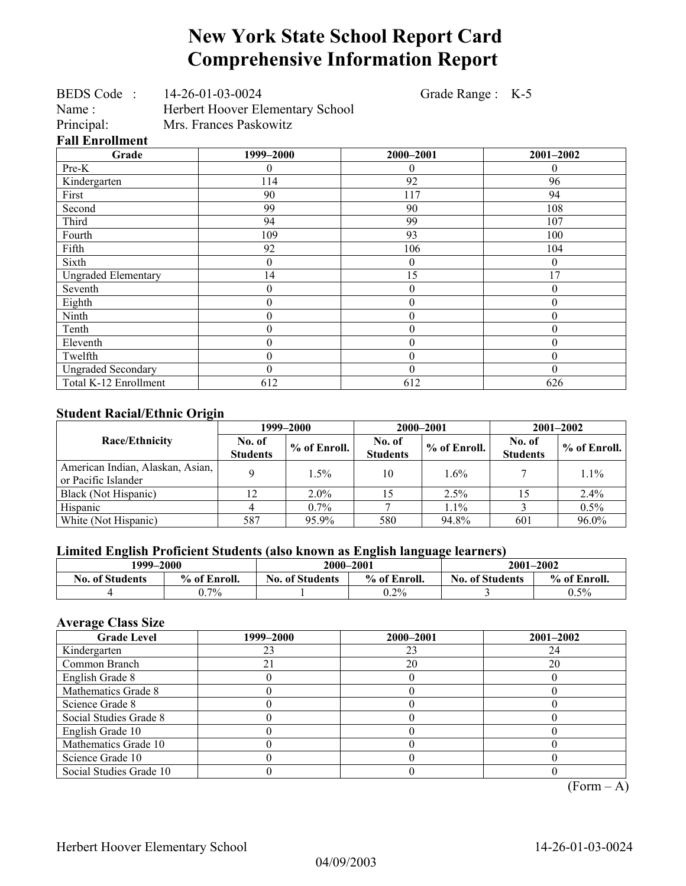# **New York State School Report Card Comprehensive Information Report**

Grade Range : K-5

| <b>Fall Enrollment</b><br>$\sim$ $\sim$ |                        | $\mathbf{a}\mathbf{a}\mathbf{a}$ |  |  |  |
|-----------------------------------------|------------------------|----------------------------------|--|--|--|
| Principal:                              | Mrs. Frances Paskowitz |                                  |  |  |  |
| Name:                                   |                        | Herbert Hoover Elementary School |  |  |  |
| BEDS Code:                              |                        | 14-26-01-03-0024                 |  |  |  |

| Grade                      | 1999-2000 | 2000-2001        | 2001-2002 |
|----------------------------|-----------|------------------|-----------|
| Pre-K                      |           | $\theta$         | 0         |
| Kindergarten               | 114       | 92               | 96        |
| First                      | 90        | 117              | 94        |
| Second                     | 99        | 90               | 108       |
| Third                      | 94        | 99               | 107       |
| Fourth                     | 109       | 93               | 100       |
| Fifth                      | 92        | 106              | 104       |
| Sixth                      | 0         | $\mathbf{0}$     | 0         |
| <b>Ungraded Elementary</b> | 14        | 15               | 17        |
| Seventh                    | 0         | $\theta$         | 0         |
| Eighth                     | 0         | $\mathbf{0}$     | 0         |
| Ninth                      | 0         | $\theta$         | $\theta$  |
| Tenth                      | 0         | $\boldsymbol{0}$ | 0         |
| Eleventh                   | $\theta$  | $\theta$         | 0         |
| Twelfth                    | 0         | $\theta$         | 0         |
| <b>Ungraded Secondary</b>  | 0         | $\theta$         | 0         |
| Total K-12 Enrollment      | 612       | 612              | 626       |

### **Student Racial/Ethnic Origin**

| ັ                                                       | 1999–2000                 |                | 2000–2001                 |              | $2001 - 2002$             |              |
|---------------------------------------------------------|---------------------------|----------------|---------------------------|--------------|---------------------------|--------------|
| <b>Race/Ethnicity</b>                                   | No. of<br><b>Students</b> | $%$ of Enroll. | No. of<br><b>Students</b> | % of Enroll. | No. of<br><b>Students</b> | % of Enroll. |
| American Indian, Alaskan, Asian,<br>or Pacific Islander |                           | 1.5%           | 10                        | $1.6\%$      |                           | 1.1%         |
| Black (Not Hispanic)                                    | 12                        | $2.0\%$        |                           | 2.5%         | 15                        | 2.4%         |
| Hispanic                                                |                           | $0.7\%$        |                           | $1.1\%$      |                           | 0.5%         |
| White (Not Hispanic)                                    | 587                       | 95.9%          | 580                       | 94.8%        | 601                       | 96.0%        |

## **Limited English Proficient Students (also known as English language learners)**

| 1999–2000              |              | 2000-2001                              |      |                        | $2001 - 2002$ |
|------------------------|--------------|----------------------------------------|------|------------------------|---------------|
| <b>No. of Students</b> | % of Enroll. | % of Enroll.<br><b>No. of Students</b> |      | <b>No. of Students</b> | % of Enroll.  |
|                        | $7\%$        |                                        | 0.2% |                        | $0.5\%$       |

## **Average Class Size**

| <b>Grade Level</b>      | 1999–2000 | 2000-2001 | 2001-2002 |
|-------------------------|-----------|-----------|-----------|
| Kindergarten            |           | 23        | 24        |
| Common Branch           |           | 20        | 20        |
| English Grade 8         |           |           |           |
| Mathematics Grade 8     |           |           |           |
| Science Grade 8         |           |           |           |
| Social Studies Grade 8  |           |           |           |
| English Grade 10        |           |           |           |
| Mathematics Grade 10    |           |           |           |
| Science Grade 10        |           |           |           |
| Social Studies Grade 10 |           |           |           |

 $(Form – A)$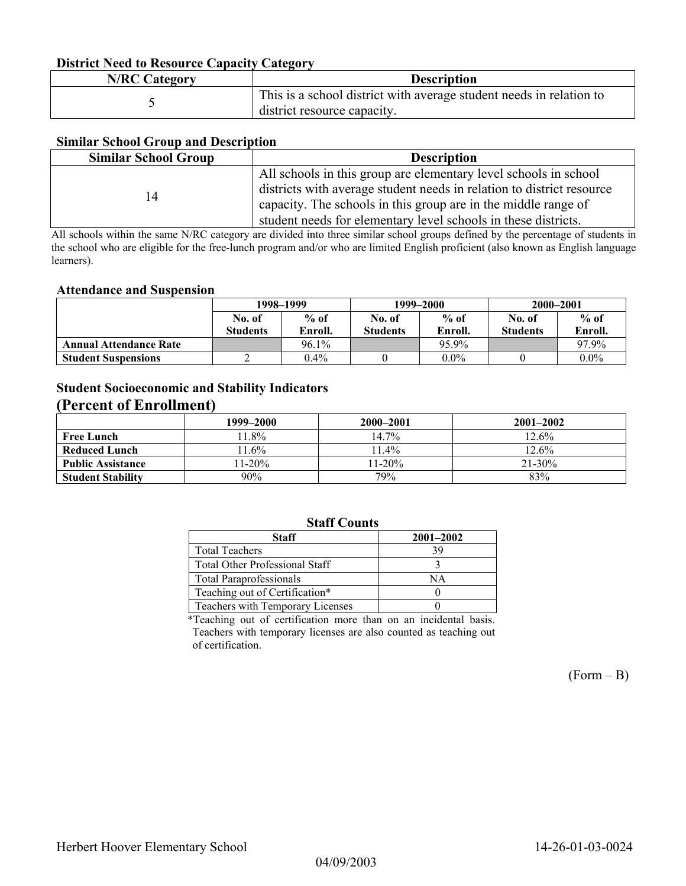### **District Need to Resource Capacity Category**

| <b>N/RC Category</b> | <b>Description</b>                                                                                 |
|----------------------|----------------------------------------------------------------------------------------------------|
|                      | This is a school district with average student needs in relation to<br>district resource capacity. |

### **Similar School Group and Description**

| <b>Similar School Group</b> | <b>Description</b>                                                    |  |  |  |
|-----------------------------|-----------------------------------------------------------------------|--|--|--|
| 14                          | All schools in this group are elementary level schools in school      |  |  |  |
|                             | districts with average student needs in relation to district resource |  |  |  |
|                             | capacity. The schools in this group are in the middle range of        |  |  |  |
|                             | student needs for elementary level schools in these districts.        |  |  |  |

All schools within the same N/RC category are divided into three similar school groups defined by the percentage of students in the school who are eligible for the free-lunch program and/or who are limited English proficient (also known as English language learners).

#### **Attendance and Suspension**

|                               | 1998–1999       |          | 1999–2000       |         | 2000-2001       |         |
|-------------------------------|-----------------|----------|-----------------|---------|-----------------|---------|
|                               | No. of          | $%$ of   | No. of          | $%$ of  | No. of          | $%$ of  |
|                               | <b>Students</b> | Enroll.  | <b>Students</b> | Enroll. | <b>Students</b> | Enroll. |
| <b>Annual Attendance Rate</b> |                 | $96.1\%$ |                 | 95.9%   |                 | 97.9%   |
| <b>Student Suspensions</b>    |                 | $0.4\%$  |                 | $0.0\%$ |                 | $0.0\%$ |

## **Student Socioeconomic and Stability Indicators (Percent of Enrollment)**

|                          | 1999-2000 | 2000-2001 | $2001 - 2002$ |
|--------------------------|-----------|-----------|---------------|
| <b>Free Lunch</b>        | 1.8%      | $14.7\%$  | 12.6%         |
| <b>Reduced Lunch</b>     | $11.6\%$  | $11.4\%$  | 12.6%         |
| <b>Public Assistance</b> | $11-20%$  | $11-20%$  | $21 - 30\%$   |
| <b>Student Stability</b> | 90%       | 79%       | 83%           |

## **Staff Counts**

| <b>Staff</b>                          | $2001 - 2002$ |
|---------------------------------------|---------------|
| <b>Total Teachers</b>                 | 39            |
| <b>Total Other Professional Staff</b> |               |
| <b>Total Paraprofessionals</b>        | ΝA            |
| Teaching out of Certification*        |               |
| Teachers with Temporary Licenses      |               |

\*Teaching out of certification more than on an incidental basis. Teachers with temporary licenses are also counted as teaching out of certification.

 $(Form - B)$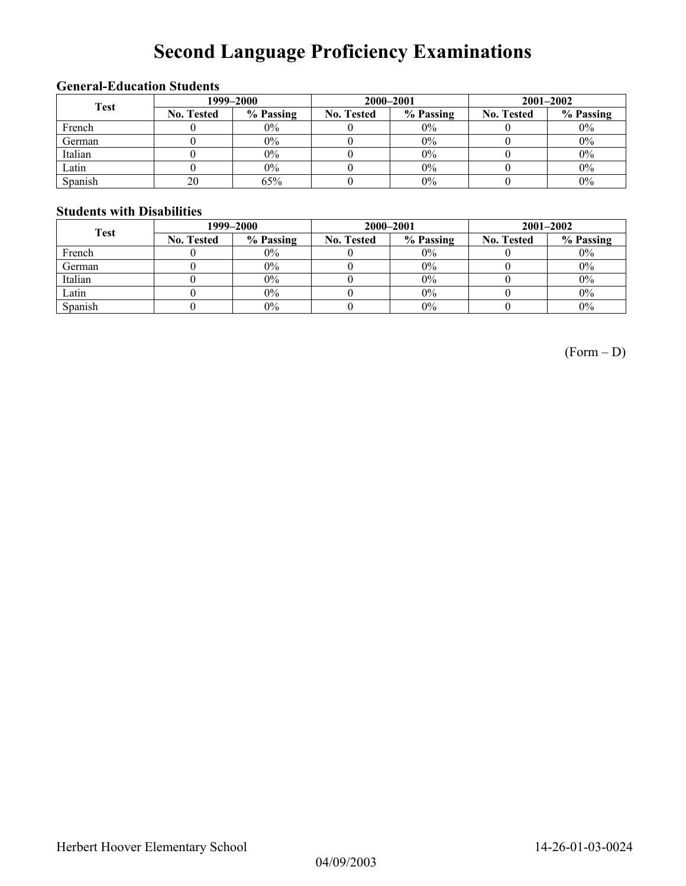# **Second Language Proficiency Examinations**

## **General-Education Students**

| <b>Test</b> | 1999–2000         |           |                   | 2000-2001 | $2001 - 2002$     |           |
|-------------|-------------------|-----------|-------------------|-----------|-------------------|-----------|
|             | <b>No. Tested</b> | % Passing | <b>No. Tested</b> | % Passing | <b>No. Tested</b> | % Passing |
| French      |                   | $0\%$     |                   | $0\%$     |                   | $0\%$     |
| German      |                   | $0\%$     |                   | $0\%$     |                   | $0\%$     |
| Italian     |                   | $0\%$     |                   | 0%        |                   | $0\%$     |
| Latin       |                   | $0\%$     |                   | $0\%$     |                   | $0\%$     |
| Spanish     | 20                | 65%       |                   | 0%        |                   | $0\%$     |

### **Students with Disabilities**

| <b>Test</b> | 1999–2000         |           |                   | 2000-2001 | $2001 - 2002$     |           |
|-------------|-------------------|-----------|-------------------|-----------|-------------------|-----------|
|             | <b>No. Tested</b> | % Passing | <b>No. Tested</b> | % Passing | <b>No. Tested</b> | % Passing |
| French      |                   | $0\%$     |                   | $0\%$     |                   | $0\%$     |
| German      |                   | $0\%$     |                   | $0\%$     |                   | $0\%$     |
| Italian     |                   | $0\%$     |                   | $0\%$     |                   | $0\%$     |
| Latin       |                   | $0\%$     |                   | $0\%$     |                   | $0\%$     |
| Spanish     |                   | $0\%$     |                   | $0\%$     |                   | $0\%$     |

(Form – D)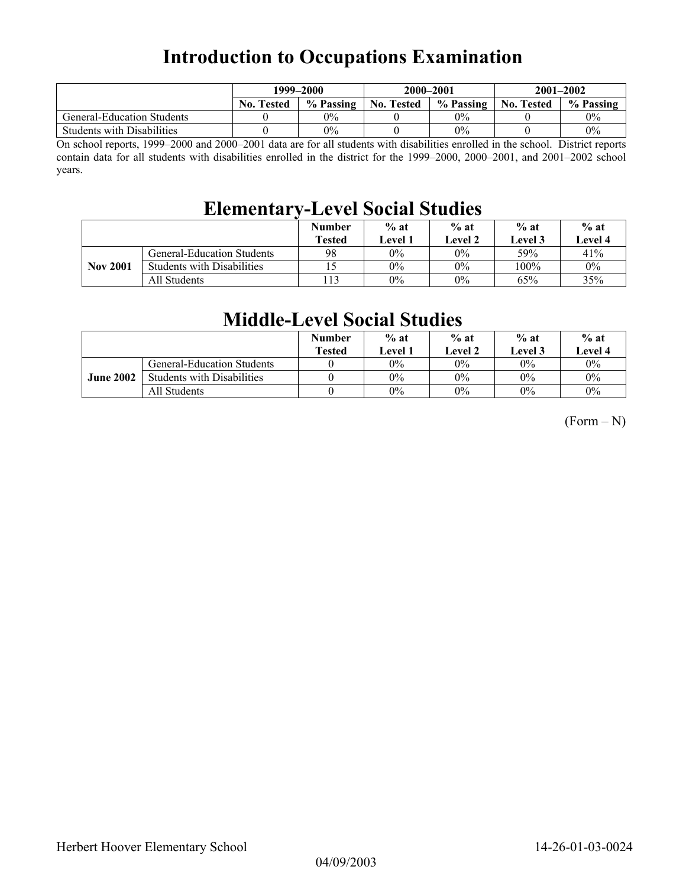# **Introduction to Occupations Examination**

|                                   | 1999–2000         |           | 2000-2001         |           | $2001 - 2002$     |           |
|-----------------------------------|-------------------|-----------|-------------------|-----------|-------------------|-----------|
|                                   | <b>No. Tested</b> | % Passing | <b>No. Tested</b> | % Passing | <b>No. Tested</b> | % Passing |
| <b>General-Education Students</b> |                   | $0\%$     |                   | 0%        |                   | $0\%$     |
| <b>Students with Disabilities</b> |                   | $0\%$     |                   | 0%        |                   | $0\%$     |

On school reports, 1999–2000 and 2000–2001 data are for all students with disabilities enrolled in the school. District reports contain data for all students with disabilities enrolled in the district for the 1999–2000, 2000–2001, and 2001–2002 school years.

# **Elementary-Level Social Studies**

|                 |                                   | <b>Number</b><br><b>Tested</b> | $%$ at<br>Level 1 | $%$ at<br>Level 2 | $%$ at<br>Level 3 | $%$ at<br>Level 4 |
|-----------------|-----------------------------------|--------------------------------|-------------------|-------------------|-------------------|-------------------|
|                 | General-Education Students        | 98                             | $0\%$             | $0\%$             | 59%               | 41%               |
| <b>Nov 2001</b> | <b>Students with Disabilities</b> |                                | $0\%$             | $0\%$             | 100%              | $0\%$             |
|                 | All Students                      |                                | 0%                | $0\%$             | 65%               | 35%               |

## **Middle-Level Social Studies**

|                  |                                   | <b>Number</b><br><b>Tested</b> | $%$ at<br>Level 1 | $%$ at<br>Level 2 | $%$ at<br><b>Level 3</b> | $%$ at<br><b>Level 4</b> |
|------------------|-----------------------------------|--------------------------------|-------------------|-------------------|--------------------------|--------------------------|
|                  | <b>General-Education Students</b> |                                | $0\%$             | 0%                | $0\%$                    | $0\%$                    |
| <b>June 2002</b> | <b>Students with Disabilities</b> |                                | $0\%$             | 0%                | $0\%$                    | $0\%$                    |
|                  | All Students                      |                                | $0\%$             | 0%                | $0\%$                    | 0%                       |

 $(Form - N)$